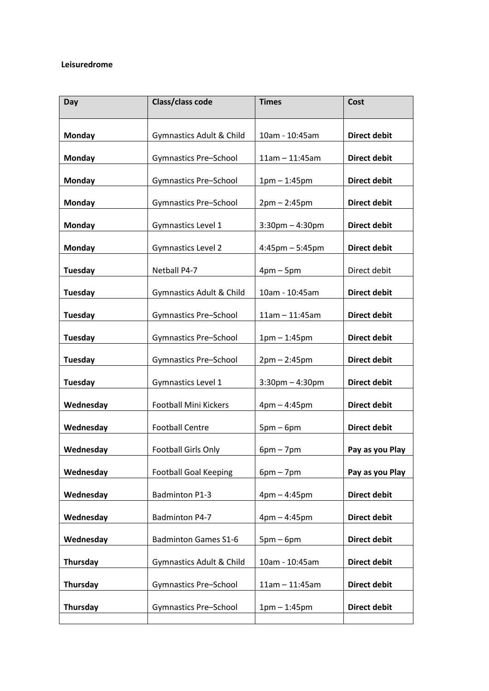## **Leisuredrome**

| Class/class code             | <b>Times</b>         | Cost                |
|------------------------------|----------------------|---------------------|
| Gymnastics Adult & Child     | 10am - 10:45am       | <b>Direct debit</b> |
| <b>Gymnastics Pre-School</b> | $11am - 11:45am$     | <b>Direct debit</b> |
| <b>Gymnastics Pre-School</b> | $1pm - 1:45pm$       | <b>Direct debit</b> |
| <b>Gymnastics Pre-School</b> | $2pm - 2:45pm$       | <b>Direct debit</b> |
| Gymnastics Level 1           | $3:30$ pm $-4:30$ pm | <b>Direct debit</b> |
| <b>Gymnastics Level 2</b>    | $4:45$ pm $-5:45$ pm | <b>Direct debit</b> |
| Netball P4-7                 | $4pm-5pm$            | Direct debit        |
| Gymnastics Adult & Child     | 10am - 10:45am       | <b>Direct debit</b> |
| <b>Gymnastics Pre-School</b> | $11am - 11:45am$     | <b>Direct debit</b> |
| <b>Gymnastics Pre-School</b> | $1pm - 1:45pm$       | <b>Direct debit</b> |
| <b>Gymnastics Pre-School</b> | $2pm - 2:45pm$       | <b>Direct debit</b> |
| Gymnastics Level 1           | $3:30$ pm $-4:30$ pm | <b>Direct debit</b> |
| <b>Football Mini Kickers</b> | $4pm - 4:45pm$       | <b>Direct debit</b> |
| <b>Football Centre</b>       | $5pm-6pm$            | <b>Direct debit</b> |
| <b>Football Girls Only</b>   | $6pm - 7pm$          | Pay as you Play     |
| <b>Football Goal Keeping</b> | $6pm - 7pm$          | Pay as you Play     |
| <b>Badminton P1-3</b>        | $4pm - 4:45pm$       | <b>Direct debit</b> |
| Badminton P4-7               | $4pm - 4:45pm$       | <b>Direct debit</b> |
| <b>Badminton Games S1-6</b>  | $5pm-6pm$            | <b>Direct debit</b> |
| Gymnastics Adult & Child     | 10am - 10:45am       | <b>Direct debit</b> |
| <b>Gymnastics Pre-School</b> | $11am - 11:45am$     | <b>Direct debit</b> |
| <b>Gymnastics Pre-School</b> | $1pm - 1:45pm$       | <b>Direct debit</b> |
|                              |                      |                     |